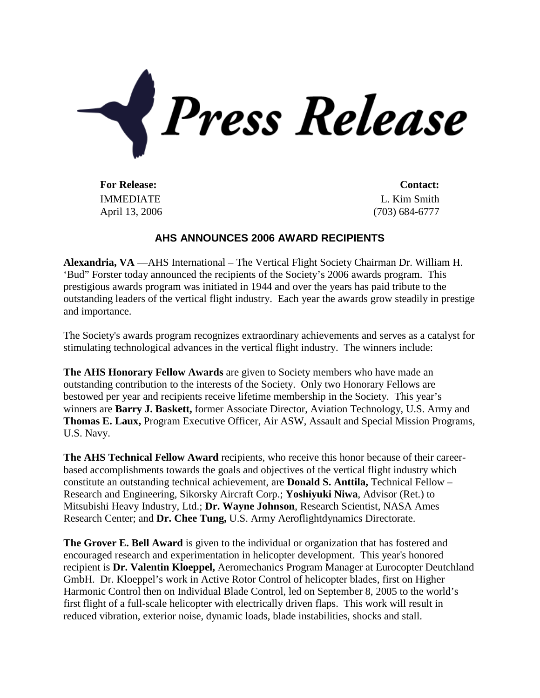

**For Release: Contact:** IMMEDIATE April 13, 2006

L. Kim Smith (703) 684-6777

## **AHS ANNOUNCES 2006 AWARD RECIPIENTS**

**Alexandria, VA** —AHS International – The Vertical Flight Society Chairman Dr. William H. 'Bud" Forster today announced the recipients of the Society's 2006 awards program. This prestigious awards program was initiated in 1944 and over the years has paid tribute to the outstanding leaders of the vertical flight industry. Each year the awards grow steadily in prestige and importance.

The Society's awards program recognizes extraordinary achievements and serves as a catalyst for stimulating technological advances in the vertical flight industry. The winners include:

**The AHS Honorary Fellow Awards** are given to Society members who have made an outstanding contribution to the interests of the Society. Only two Honorary Fellows are bestowed per year and recipients receive lifetime membership in the Society. This year's winners are **Barry J. Baskett,** former Associate Director, Aviation Technology, U.S. Army and **Thomas E. Laux,** Program Executive Officer, Air ASW, Assault and Special Mission Programs, U.S. Navy.

**The AHS Technical Fellow Award** recipients, who receive this honor because of their careerbased accomplishments towards the goals and objectives of the vertical flight industry which constitute an outstanding technical achievement, are **Donald S. Anttila,** Technical Fellow – Research and Engineering, Sikorsky Aircraft Corp.; **Yoshiyuki Niwa**, Advisor (Ret.) to Mitsubishi Heavy Industry, Ltd.; **Dr. Wayne Johnson**, Research Scientist, NASA Ames Research Center; and **Dr. Chee Tung,** U.S. Army Aeroflightdynamics Directorate.

**The Grover E. Bell Award** is given to the individual or organization that has fostered and encouraged research and experimentation in helicopter development. This year's honored recipient is **Dr. Valentin Kloeppel,** Aeromechanics Program Manager at Eurocopter Deutchland GmbH. Dr. Kloeppel's work in Active Rotor Control of helicopter blades, first on Higher Harmonic Control then on Individual Blade Control, led on September 8, 2005 to the world's first flight of a full-scale helicopter with electrically driven flaps. This work will result in reduced vibration, exterior noise, dynamic loads, blade instabilities, shocks and stall.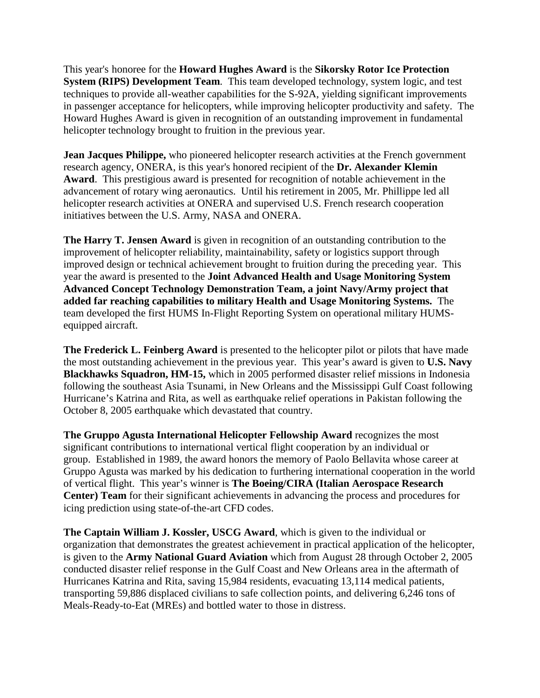This year's honoree for the **Howard Hughes Award** is the **Sikorsky Rotor Ice Protection System (RIPS) Development Team**. This team developed technology, system logic, and test techniques to provide all-weather capabilities for the S-92A, yielding significant improvements in passenger acceptance for helicopters, while improving helicopter productivity and safety. The Howard Hughes Award is given in recognition of an outstanding improvement in fundamental helicopter technology brought to fruition in the previous year.

**Jean Jacques Philippe,** who pioneered helicopter research activities at the French government research agency, ONERA, is this year's honored recipient of the **Dr. Alexander Klemin Award**. This prestigious award is presented for recognition of notable achievement in the advancement of rotary wing aeronautics. Until his retirement in 2005, Mr. Phillippe led all helicopter research activities at ONERA and supervised U.S. French research cooperation initiatives between the U.S. Army, NASA and ONERA.

**The Harry T. Jensen Award** is given in recognition of an outstanding contribution to the improvement of helicopter reliability, maintainability, safety or logistics support through improved design or technical achievement brought to fruition during the preceding year. This year the award is presented to the **Joint Advanced Health and Usage Monitoring System Advanced Concept Technology Demonstration Team, a joint Navy/Army project that added far reaching capabilities to military Health and Usage Monitoring Systems.** The team developed the first HUMS In-Flight Reporting System on operational military HUMSequipped aircraft.

**The Frederick L. Feinberg Award** is presented to the helicopter pilot or pilots that have made the most outstanding achievement in the previous year. This year's award is given to **U.S. Navy Blackhawks Squadron, HM-15,** which in 2005 performed disaster relief missions in Indonesia following the southeast Asia Tsunami, in New Orleans and the Mississippi Gulf Coast following Hurricane's Katrina and Rita, as well as earthquake relief operations in Pakistan following the October 8, 2005 earthquake which devastated that country.

**The Gruppo Agusta International Helicopter Fellowship Award** recognizes the most significant contributions to international vertical flight cooperation by an individual or group. Established in 1989, the award honors the memory of Paolo Bellavita whose career at Gruppo Agusta was marked by his dedication to furthering international cooperation in the world of vertical flight. This year's winner is **The Boeing/CIRA (Italian Aerospace Research Center) Team** for their significant achievements in advancing the process and procedures for icing prediction using state-of-the-art CFD codes.

**The Captain William J. Kossler, USCG Award**, which is given to the individual or organization that demonstrates the greatest achievement in practical application of the helicopter, is given to the **Army National Guard Aviation** which from August 28 through October 2, 2005 conducted disaster relief response in the Gulf Coast and New Orleans area in the aftermath of Hurricanes Katrina and Rita, saving 15,984 residents, evacuating 13,114 medical patients, transporting 59,886 displaced civilians to safe collection points, and delivering 6,246 tons of Meals-Ready-to-Eat (MREs) and bottled water to those in distress.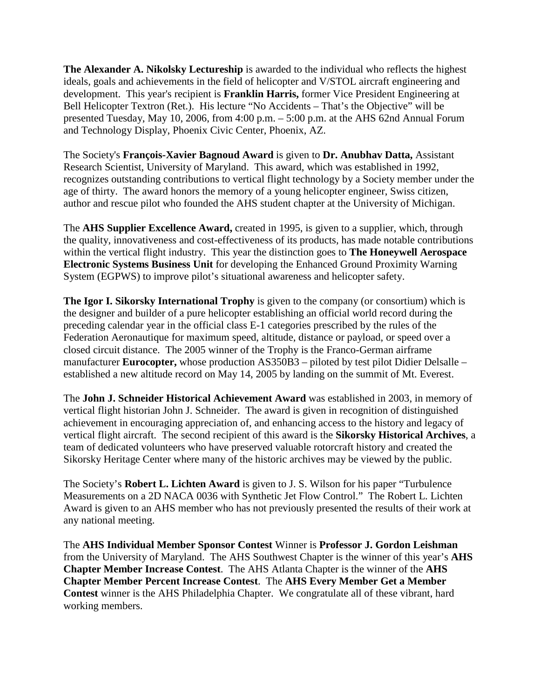**The Alexander A. Nikolsky Lectureship** is awarded to the individual who reflects the highest ideals, goals and achievements in the field of helicopter and V/STOL aircraft engineering and development. This year's recipient is **Franklin Harris,** former Vice President Engineering at Bell Helicopter Textron (Ret.). His lecture "No Accidents – That's the Objective" will be presented Tuesday, May 10, 2006, from 4:00 p.m. – 5:00 p.m. at the AHS 62nd Annual Forum and Technology Display, Phoenix Civic Center, Phoenix, AZ.

The Society's **François-Xavier Bagnoud Award** is given to **Dr. Anubhav Datta,** Assistant Research Scientist, University of Maryland. This award, which was established in 1992, recognizes outstanding contributions to vertical flight technology by a Society member under the age of thirty. The award honors the memory of a young helicopter engineer, Swiss citizen, author and rescue pilot who founded the AHS student chapter at the University of Michigan.

The **AHS Supplier Excellence Award,** created in 1995, is given to a supplier, which, through the quality, innovativeness and cost-effectiveness of its products, has made notable contributions within the vertical flight industry. This year the distinction goes to **The Honeywell Aerospace Electronic Systems Business Unit** for developing the Enhanced Ground Proximity Warning System (EGPWS) to improve pilot's situational awareness and helicopter safety.

**The Igor I. Sikorsky International Trophy** is given to the company (or consortium) which is the designer and builder of a pure helicopter establishing an official world record during the preceding calendar year in the official class E-1 categories prescribed by the rules of the Federation Aeronautique for maximum speed, altitude, distance or payload, or speed over a closed circuit distance. The 2005 winner of the Trophy is the Franco-German airframe manufacturer **Eurocopter,** whose production AS350B3 – piloted by test pilot Didier Delsalle – established a new altitude record on May 14, 2005 by landing on the summit of Mt. Everest.

The **John J. Schneider Historical Achievement Award** was established in 2003, in memory of vertical flight historian John J. Schneider. The award is given in recognition of distinguished achievement in encouraging appreciation of, and enhancing access to the history and legacy of vertical flight aircraft. The second recipient of this award is the **Sikorsky Historical Archives**, a team of dedicated volunteers who have preserved valuable rotorcraft history and created the Sikorsky Heritage Center where many of the historic archives may be viewed by the public.

The Society's **Robert L. Lichten Award** is given to J. S. Wilson for his paper "Turbulence Measurements on a 2D NACA 0036 with Synthetic Jet Flow Control." The Robert L. Lichten Award is given to an AHS member who has not previously presented the results of their work at any national meeting.

The **AHS Individual Member Sponsor Contest** Winner is **Professor J. Gordon Leishman** from the University of Maryland. The AHS Southwest Chapter is the winner of this year's **AHS Chapter Member Increase Contest**. The AHS Atlanta Chapter is the winner of the **AHS Chapter Member Percent Increase Contest**. The **AHS Every Member Get a Member Contest** winner is the AHS Philadelphia Chapter. We congratulate all of these vibrant, hard working members.